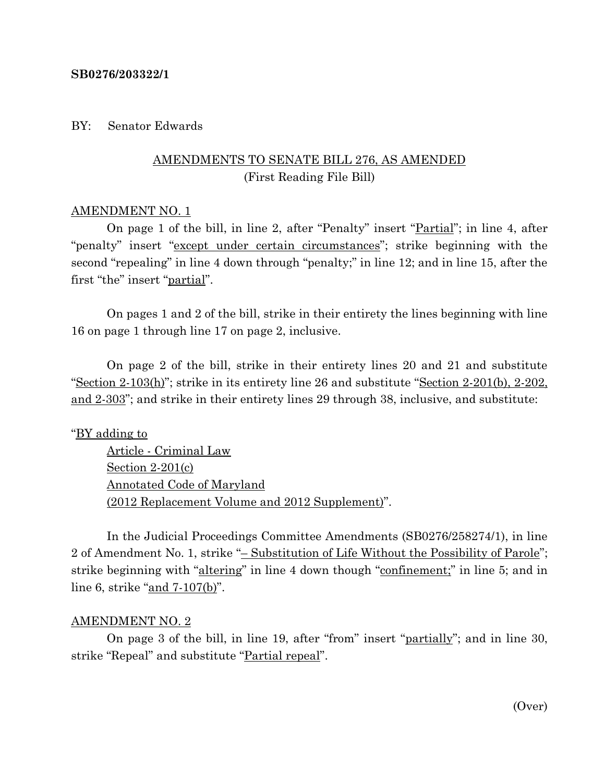#### **SB0276/203322/1**

#### BY: Senator Edwards

## AMENDMENTS TO SENATE BILL 276, AS AMENDED (First Reading File Bill)

#### AMENDMENT NO. 1

On page 1 of the bill, in line 2, after "Penalty" insert "Partial"; in line 4, after "penalty" insert "except under certain circumstances"; strike beginning with the second "repealing" in line 4 down through "penalty;" in line 12; and in line 15, after the first "the" insert "partial".

On pages 1 and 2 of the bill, strike in their entirety the lines beginning with line 16 on page 1 through line 17 on page 2, inclusive.

On page 2 of the bill, strike in their entirety lines 20 and 21 and substitute "Section 2-103(h)"; strike in its entirety line 26 and substitute "Section 2-201(b), 2-202, and 2-303"; and strike in their entirety lines 29 through 38, inclusive, and substitute:

#### "BY adding to

Article - Criminal Law Section 2-201(c) Annotated Code of Maryland (2012 Replacement Volume and 2012 Supplement)".

In the Judicial Proceedings Committee Amendments (SB0276/258274/1), in line 2 of Amendment No. 1, strike "– Substitution of Life Without the Possibility of Parole"; strike beginning with "altering" in line 4 down though "confinement;" in line 5; and in line 6, strike "and 7-107(b)".

#### AMENDMENT NO. 2

On page 3 of the bill, in line 19, after "from" insert "partially"; and in line 30, strike "Repeal" and substitute "Partial repeal".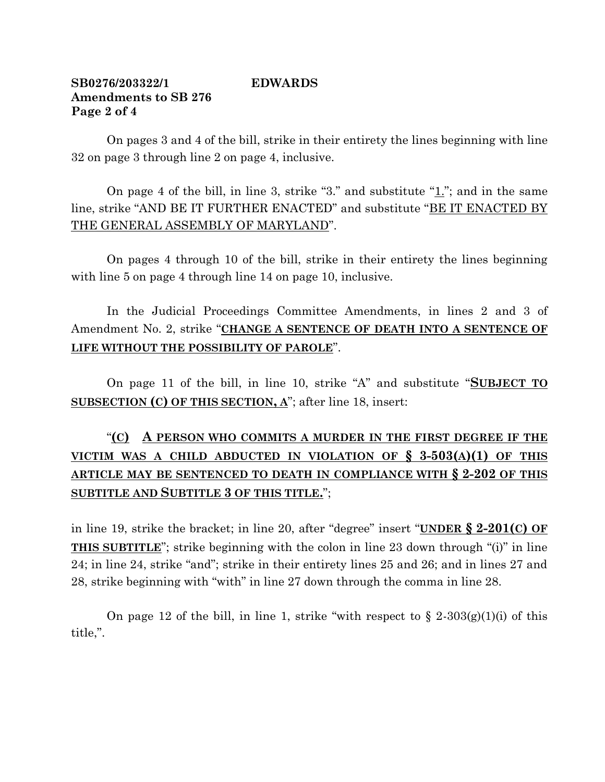## **SB0276/203322/1 EDWARDS Amendments to SB 276 Page 2 of 4**

On pages 3 and 4 of the bill, strike in their entirety the lines beginning with line 32 on page 3 through line 2 on page 4, inclusive.

On page 4 of the bill, in line 3, strike "3." and substitute "1."; and in the same line, strike "AND BE IT FURTHER ENACTED" and substitute "BE IT ENACTED BY THE GENERAL ASSEMBLY OF MARYLAND".

On pages 4 through 10 of the bill, strike in their entirety the lines beginning with line 5 on page 4 through line 14 on page 10, inclusive.

In the Judicial Proceedings Committee Amendments, in lines 2 and 3 of Amendment No. 2, strike "**CHANGE A SENTENCE OF DEATH INTO A SENTENCE OF LIFE WITHOUT THE POSSIBILITY OF PAROLE**".

On page 11 of the bill, in line 10, strike "A" and substitute "**SUBJECT TO SUBSECTION (C) OF THIS SECTION, A**"; after line 18, insert:

# "**(C) A PERSON WHO COMMITS A MURDER IN THE FIRST DEGREE IF THE VICTIM WAS A CHILD ABDUCTED IN VIOLATION OF § 3-503(A)(1) OF THIS ARTICLE MAY BE SENTENCED TO DEATH IN COMPLIANCE WITH § 2-202 OF THIS SUBTITLE AND SUBTITLE 3 OF THIS TITLE.**";

in line 19, strike the bracket; in line 20, after "degree" insert "**UNDER § 2-201(C) OF THIS SUBTITLE**"; strike beginning with the colon in line 23 down through "(i)" in line 24; in line 24, strike "and"; strike in their entirety lines 25 and 26; and in lines 27 and 28, strike beginning with "with" in line 27 down through the comma in line 28.

On page 12 of the bill, in line 1, strike "with respect to  $\S 2-303(g)(1)(i)$  of this title,".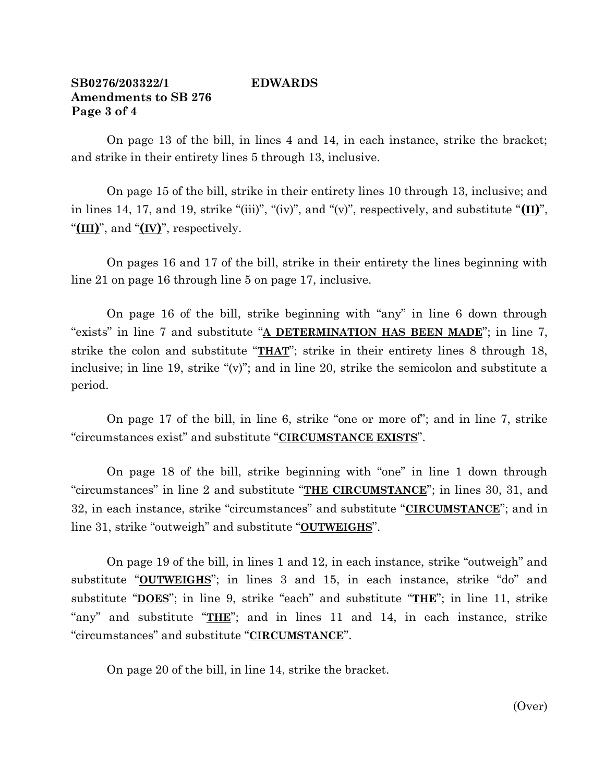### **SB0276/203322/1 EDWARDS Amendments to SB 276 Page 3 of 4**

On page 13 of the bill, in lines 4 and 14, in each instance, strike the bracket; and strike in their entirety lines 5 through 13, inclusive.

On page 15 of the bill, strike in their entirety lines 10 through 13, inclusive; and in lines 14, 17, and 19, strike "(iii)", "(iv)", and "(v)", respectively, and substitute "**(II)**", "**(III)**", and "**(IV)**", respectively.

On pages 16 and 17 of the bill, strike in their entirety the lines beginning with line 21 on page 16 through line 5 on page 17, inclusive.

On page 16 of the bill, strike beginning with "any" in line 6 down through "exists" in line 7 and substitute "**A DETERMINATION HAS BEEN MADE**"; in line 7, strike the colon and substitute "**THAT**"; strike in their entirety lines 8 through 18, inclusive; in line 19, strike "(v)"; and in line 20, strike the semicolon and substitute a period.

On page 17 of the bill, in line 6, strike "one or more of"; and in line 7, strike "circumstances exist" and substitute "**CIRCUMSTANCE EXISTS**".

On page 18 of the bill, strike beginning with "one" in line 1 down through "circumstances" in line 2 and substitute "**THE CIRCUMSTANCE**"; in lines 30, 31, and 32, in each instance, strike "circumstances" and substitute "**CIRCUMSTANCE**"; and in line 31, strike "outweigh" and substitute "**OUTWEIGHS**".

On page 19 of the bill, in lines 1 and 12, in each instance, strike "outweigh" and substitute "**OUTWEIGHS**"; in lines 3 and 15, in each instance, strike "do" and substitute "**DOES**"; in line 9, strike "each" and substitute "**THE**"; in line 11, strike "any" and substitute "**THE**"; and in lines 11 and 14, in each instance, strike "circumstances" and substitute "**CIRCUMSTANCE**".

On page 20 of the bill, in line 14, strike the bracket.